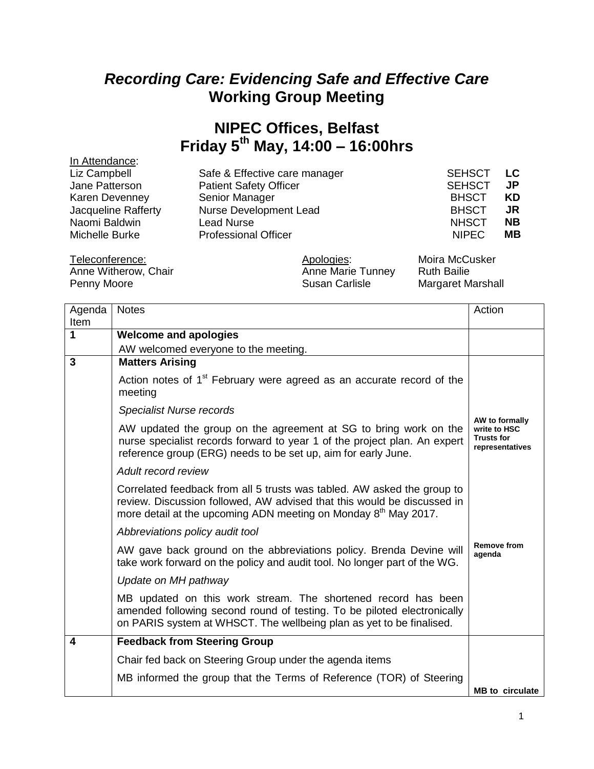## *Recording Care: Evidencing Safe and Effective Care* **Working Group Meeting**

## **NIPEC Offices, Belfast Friday 5th May, 14:00 – 16:00hrs**

| In Attendance:        |                                                |                   |           |
|-----------------------|------------------------------------------------|-------------------|-----------|
| Liz Campbell          | Safe & Effective care manager                  | <b>SEHSCT</b>     | LC        |
| Jane Patterson        | <b>Patient Safety Officer</b>                  | <b>SEHSCT</b>     | JP.       |
| <b>Karen Devenney</b> | Senior Manager                                 | <b>BHSCT</b>      | <b>KD</b> |
| Jacqueline Rafferty   | <b>Nurse Development Lead</b>                  | <b>BHSCT</b>      | JR.       |
| Naomi Baldwin         | <b>Lead Nurse</b>                              | <b>NHSCT</b>      | <b>NB</b> |
| Michelle Burke        | <b>Professional Officer</b>                    | <b>NIPEC</b>      | MВ        |
| — 1 <i>d</i>          | $\mathbf{A}$ and $\mathbf{A}$ and $\mathbf{A}$ | $\cdots$ $\cdots$ |           |

| Teleconference:      | Apologies:        | Moira McCusker           |
|----------------------|-------------------|--------------------------|
| Anne Witherow, Chair | Anne Marie Tunney | <b>Ruth Bailie</b>       |
| Penny Moore          | Susan Carlisle    | <b>Margaret Marshall</b> |

| Agenda         | <b>Notes</b>                                                                                                                                                                                                                      | Action                                                                 |
|----------------|-----------------------------------------------------------------------------------------------------------------------------------------------------------------------------------------------------------------------------------|------------------------------------------------------------------------|
| Item           |                                                                                                                                                                                                                                   |                                                                        |
| 1              | <b>Welcome and apologies</b>                                                                                                                                                                                                      |                                                                        |
|                | AW welcomed everyone to the meeting.                                                                                                                                                                                              |                                                                        |
| $\overline{3}$ | <b>Matters Arising</b>                                                                                                                                                                                                            |                                                                        |
|                | Action notes of 1 <sup>st</sup> February were agreed as an accurate record of the<br>meeting                                                                                                                                      |                                                                        |
|                | <b>Specialist Nurse records</b>                                                                                                                                                                                                   |                                                                        |
|                | AW updated the group on the agreement at SG to bring work on the<br>nurse specialist records forward to year 1 of the project plan. An expert<br>reference group (ERG) needs to be set up, aim for early June.                    | AW to formally<br>write to HSC<br><b>Trusts for</b><br>representatives |
|                | Adult record review                                                                                                                                                                                                               |                                                                        |
|                | Correlated feedback from all 5 trusts was tabled. AW asked the group to<br>review. Discussion followed, AW advised that this would be discussed in<br>more detail at the upcoming ADN meeting on Monday 8 <sup>th</sup> May 2017. |                                                                        |
|                | Abbreviations policy audit tool                                                                                                                                                                                                   |                                                                        |
|                | AW gave back ground on the abbreviations policy. Brenda Devine will<br>take work forward on the policy and audit tool. No longer part of the WG.                                                                                  | <b>Remove from</b><br>agenda                                           |
|                | Update on MH pathway                                                                                                                                                                                                              |                                                                        |
|                | MB updated on this work stream. The shortened record has been<br>amended following second round of testing. To be piloted electronically<br>on PARIS system at WHSCT. The wellbeing plan as yet to be finalised.                  |                                                                        |
| 4              | <b>Feedback from Steering Group</b>                                                                                                                                                                                               |                                                                        |
|                | Chair fed back on Steering Group under the agenda items                                                                                                                                                                           |                                                                        |
|                | MB informed the group that the Terms of Reference (TOR) of Steering                                                                                                                                                               |                                                                        |
|                |                                                                                                                                                                                                                                   | <b>MB</b> to circulate                                                 |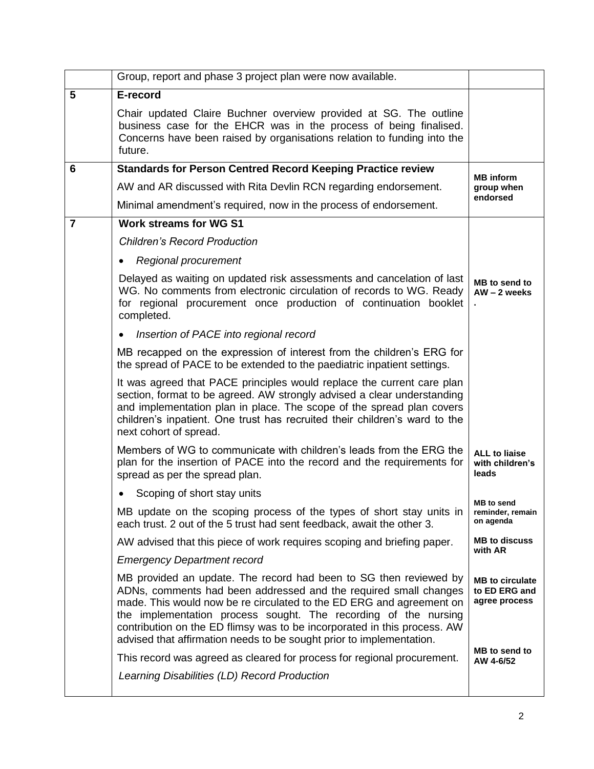|                | Group, report and phase 3 project plan were now available.                                                                                                                                                                                                                                                                                                                                                                           |                                                          |
|----------------|--------------------------------------------------------------------------------------------------------------------------------------------------------------------------------------------------------------------------------------------------------------------------------------------------------------------------------------------------------------------------------------------------------------------------------------|----------------------------------------------------------|
| 5              | E-record                                                                                                                                                                                                                                                                                                                                                                                                                             |                                                          |
|                | Chair updated Claire Buchner overview provided at SG. The outline<br>business case for the EHCR was in the process of being finalised.<br>Concerns have been raised by organisations relation to funding into the<br>future.                                                                                                                                                                                                         |                                                          |
| 6              | <b>Standards for Person Centred Record Keeping Practice review</b>                                                                                                                                                                                                                                                                                                                                                                   | <b>MB</b> inform                                         |
|                | AW and AR discussed with Rita Devlin RCN regarding endorsement.                                                                                                                                                                                                                                                                                                                                                                      | group when<br>endorsed                                   |
|                | Minimal amendment's required, now in the process of endorsement.                                                                                                                                                                                                                                                                                                                                                                     |                                                          |
| $\overline{7}$ | <b>Work streams for WG S1</b>                                                                                                                                                                                                                                                                                                                                                                                                        |                                                          |
|                | <b>Children's Record Production</b>                                                                                                                                                                                                                                                                                                                                                                                                  |                                                          |
|                | Regional procurement                                                                                                                                                                                                                                                                                                                                                                                                                 |                                                          |
|                | Delayed as waiting on updated risk assessments and cancelation of last<br>WG. No comments from electronic circulation of records to WG. Ready<br>for regional procurement once production of continuation booklet<br>completed.                                                                                                                                                                                                      | <b>MB</b> to send to<br>AW - 2 weeks                     |
|                | Insertion of PACE into regional record                                                                                                                                                                                                                                                                                                                                                                                               |                                                          |
|                | MB recapped on the expression of interest from the children's ERG for<br>the spread of PACE to be extended to the paediatric inpatient settings.                                                                                                                                                                                                                                                                                     |                                                          |
|                | It was agreed that PACE principles would replace the current care plan<br>section, format to be agreed. AW strongly advised a clear understanding<br>and implementation plan in place. The scope of the spread plan covers<br>children's inpatient. One trust has recruited their children's ward to the<br>next cohort of spread.                                                                                                   |                                                          |
|                | Members of WG to communicate with children's leads from the ERG the<br>plan for the insertion of PACE into the record and the requirements for<br>spread as per the spread plan.                                                                                                                                                                                                                                                     | <b>ALL to liaise</b><br>with children's<br>leads         |
|                | Scoping of short stay units                                                                                                                                                                                                                                                                                                                                                                                                          | <b>MB</b> to send                                        |
|                | MB update on the scoping process of the types of short stay units in<br>each trust. 2 out of the 5 trust had sent feedback, await the other 3.                                                                                                                                                                                                                                                                                       | reminder, remain<br>on agenda                            |
|                | AW advised that this piece of work requires scoping and briefing paper.                                                                                                                                                                                                                                                                                                                                                              | <b>MB to discuss</b><br>with AR                          |
|                | <b>Emergency Department record</b>                                                                                                                                                                                                                                                                                                                                                                                                   |                                                          |
|                | MB provided an update. The record had been to SG then reviewed by<br>ADNs, comments had been addressed and the required small changes<br>made. This would now be re circulated to the ED ERG and agreement on<br>the implementation process sought. The recording of the nursing<br>contribution on the ED flimsy was to be incorporated in this process. AW<br>advised that affirmation needs to be sought prior to implementation. | <b>MB</b> to circulate<br>to ED ERG and<br>agree process |
|                | This record was agreed as cleared for process for regional procurement.<br>Learning Disabilities (LD) Record Production                                                                                                                                                                                                                                                                                                              | MB to send to<br>AW 4-6/52                               |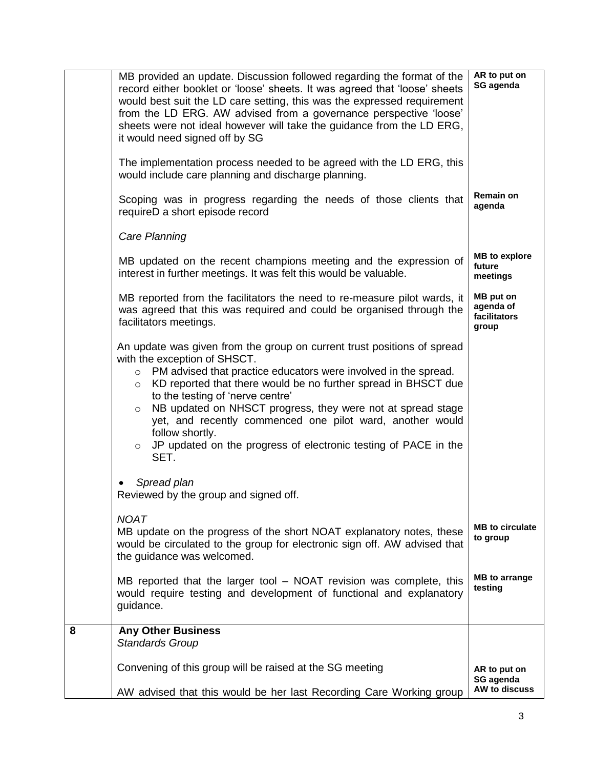|   | MB provided an update. Discussion followed regarding the format of the<br>record either booklet or 'loose' sheets. It was agreed that 'loose' sheets<br>would best suit the LD care setting, this was the expressed requirement<br>from the LD ERG. AW advised from a governance perspective 'loose'<br>sheets were not ideal however will take the guidance from the LD ERG,<br>it would need signed off by SG<br>The implementation process needed to be agreed with the LD ERG, this<br>would include care planning and discharge planning.         | AR to put on<br>SG agenda                              |
|---|--------------------------------------------------------------------------------------------------------------------------------------------------------------------------------------------------------------------------------------------------------------------------------------------------------------------------------------------------------------------------------------------------------------------------------------------------------------------------------------------------------------------------------------------------------|--------------------------------------------------------|
|   | Scoping was in progress regarding the needs of those clients that<br>requireD a short episode record                                                                                                                                                                                                                                                                                                                                                                                                                                                   | <b>Remain on</b><br>agenda                             |
|   | Care Planning                                                                                                                                                                                                                                                                                                                                                                                                                                                                                                                                          |                                                        |
|   | MB updated on the recent champions meeting and the expression of<br>interest in further meetings. It was felt this would be valuable.                                                                                                                                                                                                                                                                                                                                                                                                                  | <b>MB</b> to explore<br>future<br>meetings             |
|   | MB reported from the facilitators the need to re-measure pilot wards, it<br>was agreed that this was required and could be organised through the<br>facilitators meetings.                                                                                                                                                                                                                                                                                                                                                                             | <b>MB</b> put on<br>agenda of<br>facilitators<br>group |
|   | An update was given from the group on current trust positions of spread<br>with the exception of SHSCT.<br>PM advised that practice educators were involved in the spread.<br>$\circ$<br>KD reported that there would be no further spread in BHSCT due<br>$\circ$<br>to the testing of 'nerve centre'<br>NB updated on NHSCT progress, they were not at spread stage<br>$\circ$<br>yet, and recently commenced one pilot ward, another would<br>follow shortly.<br>JP updated on the progress of electronic testing of PACE in the<br>$\circ$<br>SET. |                                                        |
|   | Spread plan<br>Reviewed by the group and signed off.                                                                                                                                                                                                                                                                                                                                                                                                                                                                                                   |                                                        |
|   | <b>NOAT</b><br>MB update on the progress of the short NOAT explanatory notes, these<br>would be circulated to the group for electronic sign off. AW advised that<br>the guidance was welcomed.                                                                                                                                                                                                                                                                                                                                                         | <b>MB</b> to circulate<br>to group                     |
|   | MB reported that the larger tool – NOAT revision was complete, this<br>would require testing and development of functional and explanatory<br>guidance.                                                                                                                                                                                                                                                                                                                                                                                                | <b>MB</b> to arrange<br>testing                        |
| 8 | <b>Any Other Business</b><br><b>Standards Group</b>                                                                                                                                                                                                                                                                                                                                                                                                                                                                                                    |                                                        |
|   | Convening of this group will be raised at the SG meeting                                                                                                                                                                                                                                                                                                                                                                                                                                                                                               | AR to put on<br>SG agenda<br>AW to discuss             |
|   | AW advised that this would be her last Recording Care Working group                                                                                                                                                                                                                                                                                                                                                                                                                                                                                    |                                                        |